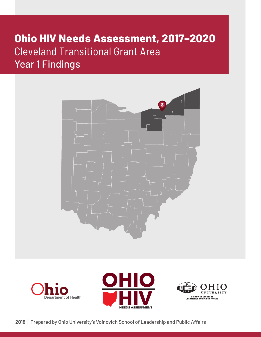## **Ohio HIV Needs Assessment, 2017–2020** Cleveland Transitional Grant Area Year 1 Findings







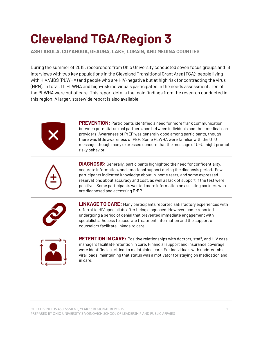# **Cleveland TGA/Region 3**

**ASHTABULA, CUYAHOGA, GEAUGA, LAKE, LORAIN, AND MEDINA COUNTIES**

During the summer of 2018, researchers from Ohio University conducted seven focus groups and 18 interviews with two key populations in the Cleveland Transitional Grant Area (TGA): people living with HIV/AIDS (PLWHA) and people who are HIV-negative but at high risk for contracting the virus (HRN). In total, 111 PLWHA and high-risk individuals participated in the needs assessment. Ten of the PLWHA were out of care. This report details the main findings from the research conducted in this region. A larger, statewide report is also available.



**PREVENTION:** Participants identified a need for more frank communication between potential sexual partners, and between individuals and their medical care providers. Awareness of PrEP was generally good among participants, though there was little awareness of PEP. Some PLWHA were familiar with the U=U message, though many expressed concern that the message of U=U might prompt risky behavior.



**DIAGNOSIS:** Generally, participants highlighted the need for confidentiality, accurate information, and emotional support during the diagnosis period. Few participants indicated knowledge about in-home tests, and some expressed reservations about accuracy and cost, as well as lack of support if the test were positive. Some participants wanted more information on assisting partners who are diagnosed and accessing PrEP.



**LINKAGE TO CARE:** Many participants reported satisfactory experiences with referral to HIV specialists after being diagnosed*.* However, some reported undergoing a period of denial that prevented immediate engagement with specialists. Access to accurate treatment information and the support of counselors facilitate linkage to care.



**RETENTION IN CARE:** Positive relationships with doctors, staff, and HIV case managers facilitate retention in care. Financial support and insurance coverage were identified as critical to maintaining care. For individuals with undetectable viral loads, maintaining that status was a motivator for staying on medication and in care.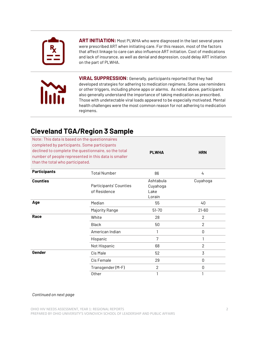

**ART INITIATION:** Most PLWHA who were diagnosed in the last several years were prescribed ART when initiating care. For this reason, most of the factors that affect linkage to care can also influence ART initiation. Cost of medications and lack of insurance, as well as denial and depression, could delay ART initiation on the part of PLWHA.



**VIRAL SUPPRESSION:** Generally, participants reported that they had developed strategies for adhering to medication regimens. Some use reminders or other triggers, including phone apps or alarms. As noted above, participants also generally understand the importance of taking medication as prescribed. Those with undetectable viral loads appeared to be especially motivated. Mental health challenges were the most common reason for not adhering to medication regimens.

## **Cleveland TGA/Region 3 Sample**

| than the total who participated. | Note: This data is based on the questionnaires<br>completed by participants. Some participants<br>declined to complete the questionnaire, so the total<br>number of people represented in this data is smaller | <b>PLWHA</b>                            | <b>HRN</b>     |
|----------------------------------|----------------------------------------------------------------------------------------------------------------------------------------------------------------------------------------------------------------|-----------------------------------------|----------------|
| <b>Participants</b>              | <b>Total Number</b>                                                                                                                                                                                            | 86                                      | 4              |
| <b>Counties</b>                  | Participants' Counties<br>of Residence                                                                                                                                                                         | Ashtabula<br>Cuyahoga<br>Lake<br>Lorain | Cuyahoga       |
| Age                              | Median                                                                                                                                                                                                         | 55                                      | 40             |
|                                  | Majority Range                                                                                                                                                                                                 | $51 - 70$                               | $21 - 60$      |
| Race                             | White                                                                                                                                                                                                          | 28                                      | 2              |
|                                  | <b>Black</b>                                                                                                                                                                                                   | 50                                      | $\overline{2}$ |
|                                  | American Indian                                                                                                                                                                                                | 1                                       | $\mathsf 0$    |
|                                  | Hispanic                                                                                                                                                                                                       | 7                                       | 1              |
|                                  | Not Hispanic                                                                                                                                                                                                   | 68                                      | $\overline{2}$ |
| Gender                           | Cis Male                                                                                                                                                                                                       | 52                                      | 3              |
|                                  | Cis Female                                                                                                                                                                                                     | 29                                      | 0              |
|                                  | Transgender (M-F)                                                                                                                                                                                              | $\overline{2}$                          | 0              |
|                                  | Other                                                                                                                                                                                                          | 1                                       | 1              |

#### *Continued on next page*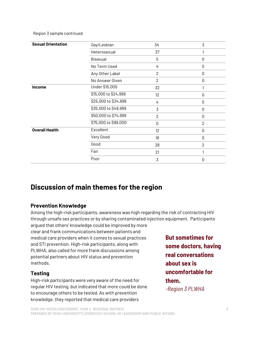Region 3 sample continued

| <b>Sexual Orientation</b> | Gay/Lesbian          | 34             | $\overline{3}$ |
|---------------------------|----------------------|----------------|----------------|
|                           | Heterosexual         | 37             | 1              |
|                           | Bisexual             | 5              | $\mathsf 0$    |
|                           | No Term Used         | 4              | $\mathsf 0$    |
|                           | Any Other Label      | $\mathbf{2}$   | $\mathsf 0$    |
|                           | No Answer Given      | $\overline{2}$ | $\mathsf 0$    |
| <b>Income</b>             | Under \$15,000       | 32             |                |
|                           | \$15,000 to \$24,999 | 12             | $\mathbf 0$    |
|                           | \$25,000 to \$34,999 | 4              | 0              |
|                           | \$35,000 to \$49,999 | 3              | 0              |
|                           | \$50,000 to \$74,999 | $\overline{2}$ | $\mathsf 0$    |
|                           | \$75,000 to \$99,000 | 0              | $\mathbf{2}$   |
| <b>Overall Health</b>     | Excellent            | 12             | 0              |
|                           | Very Good            | 18             | 0              |
|                           | Good                 | 28             | $\overline{2}$ |
|                           | Fair                 | 21             | 1              |
|                           | Poor                 | 3              | 0              |

## **Discussion of main themes for the region**

## **Prevention Knowledge**

Among the high-risk participants, awareness was high regarding the risk of contracting HIV through unsafe sex practices or by sharing contaminated injection equipment. Participants argued that others' knowledge could be improved by more

clear and frank communications between patients and medical care providers when it comes to sexual practices and STI prevention. High-risk participants, along with PLWHA, also called for more frank discussions among potential partners about HIV status and prevention methods.

## **Testing**

High-risk participants were very aware of the need for regular HIV testing, but indicated that more could be done to encourage others to be tested. As with prevention knowledge, they reported that medical care providers

**But sometimes for some doctors, having real conversations about sex is uncomfortable for them.**  *-Region 3 PLWHA*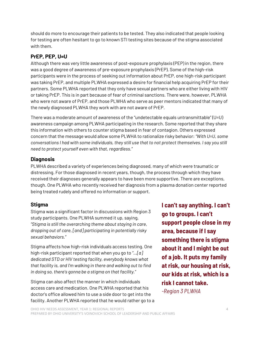should do more to encourage their patients to be tested. They also indicated that people looking for testing are often hesitant to go to known STI testing sites because of the stigma associated with them.

## **PrEP, PEP, U=U**

Although there was very little awareness of post-exposure prophylaxis (PEP) in the region, there was a good degree of awareness of pre-exposure prophylaxis (PrEP). Some of the high-risk participants were in the process of seeking out information about PrEP, one high-risk participant was taking PrEP, and multiple PLWHA expressed a desire for financial help acquiring PrEP for their partners. Some PLWHA reported that they only have sexual partners who are either living with HIV or taking PrEP. This is in part because of fear of criminal sanctions. There were, however, PLWHA who were not aware of PrEP, and those PLWHA who serve as peer mentors indicated that many of the newly diagnosed PLWHA they work with are not aware of PrEP.

There was a moderate amount of awareness of the "undetectable equals untransmittable" (U=U) awareness campaign among PLWHA participating in the research. Some reported that they share this information with others to counter stigma based in fear of contagion. Others expressed concern that the message would allow some PLWHA to rationalize risky behavior: *"With U=U, some conversations I had with some individuals, they still use that to not protect themselves. I say you still need to protect yourself even with that, regardless."*

## **Diagnosis**

PLWHA described a variety of experiences being diagnosed, many of which were traumatic or distressing. For those diagnosed in recent years, though, the process through which they have received their diagnoses generally appears to have been more supportive. There are exceptions, though. One PLWHA who recently received her diagnosis from a plasma donation center reported being treated rudely and offered no information or support.

## **Stigma**

Stigma was a significant factor in discussions with Region 3 study participants. One PLWHA summed it up, saying, *"Stigma is still the overarching theme about staying in care, dropping out of care, [and] participating in potentially risky sexual behaviors."*

Stigma affects how high-risk individuals access testing. One high-risk participant reported that when you go to *"…[a] dedicated STD or HIV testing facility, everybody knows what that facility is, and I'm walking in there and walking out to find in doing so, there's gonna be a stigma on that facility."*

Stigma can also affect the manner in which individuals access care and medication. One PLWHA reported that his doctor's office allowed him to use a side door to get into the facility. Another PLWHA reported that he would rather go to a **I can't say anything. I can't go to groups. I can't support people close in my area, because if I say something there is stigma about it and I might be out of a job. It puts my family at risk, our housing at risk, our kids at risk, which is a risk I cannot take.**  *-Region 3 PLWHA*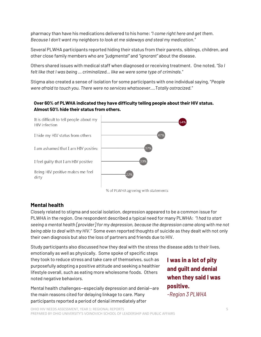pharmacy than have his medications delivered to his home: *"I come right here and get them. Because I don't want my neighbors to look at me sideways and steal my medication."*

Several PLWHA participants reported hiding their status from their parents, siblings, children, and other close family members who are *"judgmental"* and *"ignorant"* about the disease.

Others shared issues with medical staff when diagnosed or receiving treatment. One noted, *"So I felt like that I was being … criminalized… like we were some type of criminals."* 

Stigma also created a sense of isolation for some participants with one individual saying, "*People were afraid to touch you. There were no services whatsoever….Totally ostracized."*

## **Over 60% of PLWHA indicated they have difficulty telling people about their HIV status. Almost 50% hide their status from others.**



% of PLWHA agreeing with statements

## **Mental health**

Closely related to stigma and social isolation, depression appeared to be a common issue for PLWHA in the region. One respondent described a typical need for many PLWHA: *"I had to start seeing a mental health [provider] for my depression, because the depression came along with me not being able to deal with my HIV."* Some even reported thoughts of suicide as they dealt with not only their own diagnosis but also the loss of partners and friends due to HIV.

Study participants also discussed how they deal with the stress the disease adds to their lives,

emotionally as well as physically. Some spoke of specific steps they took to reduce stress and take care of themselves, such as purposefully adopting a positive attitude and seeking a healthier lifestyle overall, such as eating more wholesome foods. Others noted negative behaviors.

Mental health challenges—especially depression and denial—are the main reasons cited for delaying linkage to care. Many participants reported a period of denial immediately after

**I was in a lot of pity and guilt and denial when they said I was positive.**  *–Region 3 PLWHA*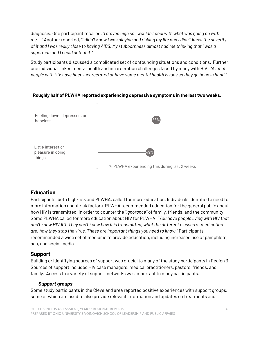diagnosis. One participant recalled, *"I stayed high so I wouldn't deal with what was going on with me…."* Another reported, *"I didn't know I was playing and risking my life and I didn't know the severity of it and I was really close to having AIDS. My stubbornness almost had me thinking that I was a superman and I could defeat it."*

Study participants discussed a complicated set of confounding situations and conditions. Further, one individual linked mental health and incarceration challenges faced by many with HIV. *"A lot of people with HIV have been incarcerated or have some mental health issues so they go hand in hand."*

## 55% 49% Feeling down, depressed, or hopeless Little interest or pleasure in doing things % PLWHA experiencing this during last 2 weeks

## **Roughly half of PLWHA reported experiencing depressive symptoms in the last two weeks.**

## **Education**

Participants, both high-risk and PLWHA, called for more education. Individuals identified a need for more information about risk factors. PLWHA recommended education for the general public about how HIV is transmitted, in order to counter the *"ignorance"* of family, friends, and the community. Some PLWHA called for more education about HIV for PLWHA: *"You have people living with HIV that don't know HIV 101. They don't know how it is transmitted, what the different classes of medication are, how they stop the virus. These are important things you need to know."* Participants recommended a wide set of mediums to provide education, including increased use of pamphlets, ads, and social media.

## **Support**

Building or identifying sources of support was crucial to many of the study participants in Region 3. Sources of support included HIV case managers, medical practitioners, pastors, friends, and family. Access to a variety of support networks was important to many participants.

## *Support groups*

Some study participants in the Cleveland area reported positive experiences with support groups, some of which are used to also provide relevant information and updates on treatments and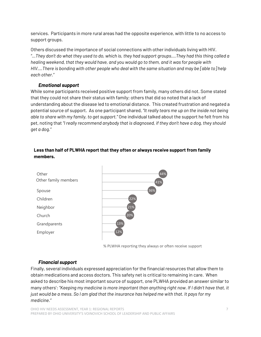services. Participants in more rural areas had the opposite experience, with little to no access to support groups.

Others discussed the importance of social connections with other individuals living with HIV. *"…They don't do what they used to do, which is, they had support groups….They had this thing called a healing weekend, that they would have, and you would go to them, and it was for people with HIV….There is bonding with other people who deal with the same situation and may be [able to] help each other."*

## *Emotional support*

While some participants received positive support from family, many others did not. Some stated that they could not share their status with family; others that did so noted that a lack of understanding about the disease led to emotional distance. This created frustration and negated a potential source of support. As one participant shared, *"It really tears me up on the inside not being able to share with my family, to get support."* One individual talked about the support he felt from his pet, noting that *"I really recommend anybody that is diagnosed, if they don't have a dog, they should get a dog."*

## **Less than half of PLWHA report that they often or always receive support from family members.**



% PLWHA reporting they always or often receive support

## *Financial support*

Finally, several individuals expressed appreciation for the financial resources that allow them to obtain medications and access doctors. This safety net is critical to remaining in care. When asked to describe his most important source of support, one PLWHA provided an answer similar to many others': *"Keeping my medicine is more important than anything right now. If I didn't have that, it just would be a mess. So I am glad that the insurance has helped me with that. It pays for my medicine."*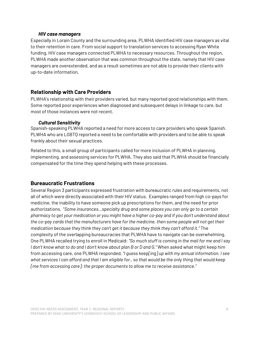#### *HIV case managers*

Especially in Lorain County and the surrounding area, PLWHA identified HIV case managers as vital to their retention in care. From social support to translation services to accessing Ryan White funding, HIV case managers connected PLWHA to necessary resources. Throughout the region, PLWHA made another observation that was common throughout the state, namely that HIV case managers are overextended, and as a result sometimes are not able to provide their clients with up-to-date information.

## **Relationship with Care Providers**

PLWHA's relationship with their providers varied, but many reported good relationships with them. Some reported poor experiences when diagnosed and subsequent delays in linkage to care, but most of those instances were not recent.

#### *Cultural Sensitivity*

Spanish-speaking PLWHA reported a need for more access to care providers who speak Spanish. PLWHA who are LGBTQ reported a need to be comfortable with providers and to be able to speak frankly about their sexual practices.

Related to this, a small group of participants called for more inclusion of PLWHA in planning, implementing, and assessing services for PLWHA. They also said that PLWHA should be financially compensated for the time they spend helping with these processes.

## **Bureaucratic Frustrations**

Several Region 3 participants expressed frustration with bureaucratic rules and requirements, not all of which were directly associated with their HIV status. Examples ranged from high co-pays for medicine, the inability to have someone pick up prescriptions for them, and the need for prior authorizations. "*Some insurances…specialty drug and some places you can only go to a certain pharmacy to get your medication or you might have a higher co-pay and if you don't understand about the co-pay cards that the manufacturers have for the medicine, then some people will not get their medication because they think they can't get it because they think they can't afford it."* The complexity of the overlapping bureaucracies that PLWHA have to navigate can be overwhelming. One PLWHA recalled trying to enroll in Medicaid: *"So much stuff is coming in the mail for me and I say I don't know what to do and I don't know about plan B or D and G."* When asked what might keep him from accessing care, one PLWHA responded, *"I guess keep[ing] up with my annual information. I see what services I can afford and that I am eligible for.. so that would be the only thing that would keep [me from accessing care]: the proper documents to allow me to receive assistance."*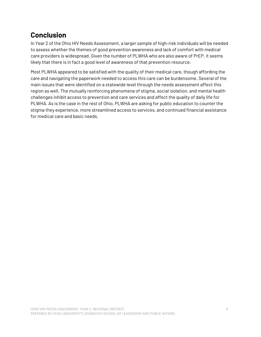## **Conclusion**

In Year 2 of the Ohio HIV Needs Assessment, a larger sample of high-risk individuals will be needed to assess whether the themes of good prevention awareness and lack of comfort with medical care providers is widespread. Given the number of PLWHA who are also aware of PrEP, it seems likely that there is in fact a good level of awareness of that prevention resource.

Most PLWHA appeared to be satisfied with the quality of their medical care, though affording the care and navigating the paperwork needed to access this care can be burdensome. Several of the main issues that were identified on a statewide level through the needs assessment affect this region as well. The mutually reinforcing phenomena of stigma, social isolation, and mental health challenges inhibit access to prevention and care services and affect the quality of daily life for PLWHA. As is the case in the rest of Ohio, PLWHA are asking for public education to counter the stigma they experience, more streamlined access to services, and continued financial assistance for medical care and basic needs.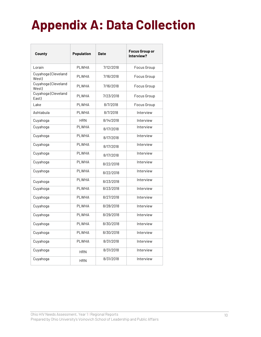# **Appendix A: Data Collection**

| County                       | <b>Population</b> | <b>Date</b> | <b>Focus Group or</b><br>Interview? |
|------------------------------|-------------------|-------------|-------------------------------------|
| Lorain                       | <b>PLWHA</b>      | 7/12/2018   | Focus Group                         |
| Cuyahoga (Cleveland<br>West) | <b>PLWHA</b>      | 7/16/2018   | Focus Group                         |
| Cuyahoga (Cleveland<br>West) | <b>PLWHA</b>      | 7/16/2018   | Focus Group                         |
| Cuyahoga (Cleveland<br>East) | <b>PLWHA</b>      | 7/23/2018   | Focus Group                         |
| Lake                         | <b>PLWHA</b>      | 8/7/2018    | Focus Group                         |
| Ashtabula                    | <b>PLWHA</b>      | 8/7/2018    | Interview                           |
| Cuyahoga                     | <b>HRN</b>        | 8/14/2018   | Interview                           |
| Cuyahoga                     | <b>PLWHA</b>      | 8/17/2018   | Interview                           |
| Cuyahoga                     | <b>PLWHA</b>      | 8/17/2018   | Interview                           |
| Cuyahoga                     | <b>PLWHA</b>      | 8/17/2018   | Interview                           |
| Cuyahoga                     | PI WHA            | 8/17/2018   | Interview                           |
| Cuyahoga                     | <b>PLWHA</b>      | 8/22/2018   | Interview                           |
| Cuyahoga                     | <b>PLWHA</b>      | 8/22/2018   | Interview                           |
| Cuyahoga                     | <b>PLWHA</b>      | 8/23/2018   | Interview                           |
| Cuyahoga                     | PI WHA            | 8/23/2018   | Interview                           |
| Cuyahoga                     | <b>PLWHA</b>      | 8/27/2018   | Interview                           |
| Cuyahoga                     | <b>PLWHA</b>      | 8/28/2018   | Interview                           |
| Cuyahoga                     | <b>PLWHA</b>      | 8/29/2018   | Interview                           |
| Cuyahoga                     | PI WHA            | 8/30/2018   | Interview                           |
| Cuyahoga                     | <b>PLWHA</b>      | 8/30/2018   | Interview                           |
| Cuyahoga                     | PLWHA             | 8/31/2018   | Interview                           |
| Cuyahoga                     | <b>HRN</b>        | 8/31/2018   | Interview                           |
| Cuyahoga                     | <b>HRN</b>        | 8/31/2018   | Interview                           |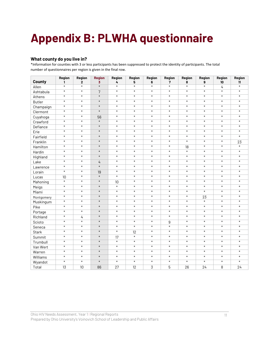# **Appendix B: PLWHA questionnaire**

#### **What county do you live in?**

\*Information for counties with 3 or less participants has been suppressed to protect the identity of participants. The total number of questionnaires per region is given in the final row.

| County        | Region<br>$\mathbf{1}$ | Region<br>$\overline{2}$ | <b>Region</b><br>$\overline{\mathbf{3}}$ | Region<br>4       | Region<br>5 | Region<br>6       | Region<br>7       | Region<br>8 | Region<br>9       | <b>Region</b><br>10 | Region<br>11 |
|---------------|------------------------|--------------------------|------------------------------------------|-------------------|-------------|-------------------|-------------------|-------------|-------------------|---------------------|--------------|
| Allen         | $\ast$                 | $\ast$                   | $\ast$                                   | $\ast$            | $\ast$      | $\ast$            | $\ast$            | $\ast$      | $\ast$            | 4                   | $\ast$       |
| Ashtabula     | $\ast$                 | $\ast$                   | $\overline{7}$                           | $\ast$            | $\ast$      | $\ast$            | $\ast$            | $\ast$      | $\ast$            | $\ast$              | $\ast$       |
| Athens        | $\ast$                 | $\ast$                   | $\ast$                                   | $\ast$            | $\ast$      | $\ast$            | $\ast$            | $\ast$      | $\ast$            | $\ast$              | $\ast$       |
| <b>Butler</b> | $\ast$                 | $\ast$                   | $\ast$                                   | $\ast$            | $\ast$      | $\ast$            | $\ast$            | $\ast$      | $\ast$            | $\ast$              | $\ast$       |
| Champaign     | $\ast$                 | $\ast$                   | $\ast$                                   | $\ast$            | $\ast$      | $\ast$            | $\ast$            | $\ast$      | $\ast$            | $\ast$              | $\ast$       |
| Clermont      | $\ast$                 | $\ast$                   | $\ast$                                   | $\ast$            | $\ast$      | $\ast$            | $\ast$            | $\ast$      | $\ast$            | $\ast$              | $\ast$       |
| Cuyahoga      | $\ast$                 | $\ast$                   | 56                                       | $\ast$            | $\ast$      | $\ast$            | $\ast$            | $\ast$      | $\ast$            | $\ast$              | $\ast$       |
| Crawford      | $\overline{\ast}$      | $\ast$                   | $\ast$                                   | $\overline{\ast}$ | $\ast$      | $\overline{\ast}$ | $\overline{\ast}$ | $\ast$      | $\ast$            | $\ast$              | $\ast$       |
| Defiance      | $\ast$                 | $\ast$                   | $\ast$                                   | $\ast$            | $\ast$      | $\ast$            | $\ast$            | $\ast$      | $\ast$            | $\ast$              | $\ast$       |
| Erie          | $\ast$                 | $\ast$                   | $\ast$                                   | $\ast$            | $\ast$      | $\ast$            | $\ast$            | $\ast$      | $\ast$            | $\ast$              | $\ast$       |
| Fairfield     | $\ast$                 | $\ast$                   | $\ast$                                   | $\ast$            | $\ast$      | $\ast$            | $\ast$            | $\ast$      | $\ast$            | $\ast$              | $\ast$       |
| Franklin      | $\overline{\ast}$      | $\ast$                   | $\ast$                                   | $\ast$            | $\ast$      | $\ast$            | $\ast$            | $\ast$      | $\ast$            | $\ast$              | 23           |
| Hamilton      | $\ast$                 | $\ast$                   | $\ast$                                   | $\ast$            | $\ast$      | $\ast$            | $\ast$            | 18          | $\ast$            | $\ast$              | $\ast$       |
| Hardin        | $\ast$                 | $\ast$                   | $\ast$                                   | $\ast$            | $\ast$      | $\ast$            | $\ast$            | $\ast$      | $\ast$            | $\ast$              | $\ast$       |
| Highland      | $\ast$                 | $\ast$                   | $\ast$                                   | $\ast$            | $\ast$      | $\ast$            | $\ast$            | $\ast$      | $\ast$            | $\ast$              | $\ast$       |
| Lake          | $\ast$                 | $\ast$                   | $\overline{4}$                           | $\ast$            | $\ast$      | $\ast$            | $\ast$            | $\ast$      | $\ast$            | $\ast$              | $\ast$       |
| Lawrence      | $\ast$                 | $\ast$                   | $\ast$                                   | $\ast$            | $\ast$      | $\ast$            | $\ast$            | $\ast$      | $\ast$            | $\ast$              | $\ast$       |
| Lorain        | $\ast$                 | $\ast$                   | 19                                       | $\ast$            | $\ast$      | $\ast$            | $\ast$            | $\ast$      | $\ast$            | $\ast$              | $\ast$       |
| Lucas         | 10                     | $\ast$                   | $\ast$                                   | $\ast$            | $\ast$      | $\ast$            | $\ast$            | $\ast$      | $\ast$            | $\ast$              | $\ast$       |
| Mahoning      | $\overline{\ast}$      | $\ast$                   | $\ast$                                   | 10                | $\ast$      | $\ast$            | $\ast$            | $\ast$      | $\ast$            | $\ast$              | $\ast$       |
| Meigs         | $\ast$                 | $\ast$                   | $\ast$                                   | $\overline{\ast}$ | $\ast$      | $\ast$            | $\ast$            | $\ast$      | $\ast$            | $\ast$              | $\ast$       |
| Miami         | $\ast$                 | $\ast$                   | $\ast$                                   | $\ast$            | $\ast$      | $\ast$            | $\ast$            | $\ast$      | $\ast$            | $\ast$              | $\ast$       |
| Montgomery    | $\ast$                 | $\ast$                   | $\ast$                                   | $\ast$            | $\ast$      | $\ast$            | $\ast$            | $\ast$      | $\overline{23}$   | $\ast$              | $\ast$       |
| Muskingum     | $\ast$                 | $\ast$                   | $\ast$                                   | $\ast$            | $\ast$      | $\ast$            | $\ast$            | $\ast$      | $\ast$            | $\ast$              | $\ast$       |
| Pike          | $\overline{\ast}$      | $\ast$                   | $\ast$                                   | $\ast$            | $\ast$      | $\overline{\ast}$ | $\ast$            | $\ast$      | $\ast$            | $\ast$              | $\ast$       |
| Portage       | $\ast$                 | $\ast$                   | $\ast$                                   | $\ast$            | $\ast$      | $\ast$            | $\ast$            | $\ast$      | $\ast$            | $\ast$              | $\ast$       |
| Richland      | $\ast$                 | 4                        | $\ast$                                   | $\ast$            | $\ast$      | $\ast$            | $\ast$            | $\ast$      | $\ast$            | $\ast$              | $\ast$       |
| Scioto        | $\ast$                 | $\ast$                   | $\ast$                                   | $\ast$            | $\ast$      | $\ast$            | 9                 | $\ast$      | $\ast$            | $\ast$              | $\ast$       |
| Seneca        | $\ast$                 | $\ast$                   | $\ast$                                   | $\ast$            | $\ast$      | $\ast$            | $\ast$            | $\ast$      | $\ast$            | $\ast$              | $\ast$       |
| Stark         | $\ast$                 | $\ast$                   | $\ast$                                   | $\ast$            | 12          | $\ast$            | $\ast$            | $\ast$      | $\ast$            | $\ast$              | $\ast$       |
| Summit        | $\ast$                 | $\ast$                   | $\ast$                                   | 17                | $\ast$      | $\ast$            | $\ast$            | $\ast$      | $\ast$            | $\ast$              | $\ast$       |
| Trumbull      | $\ast$                 | $\ast$                   | $\ast$                                   | $\ast$            | $\ast$      | $\ast$            | $\ast$            | $\ast$      | $\ast$            | $\ast$              | $\ast$       |
| Van Wert      | $\ast$                 | $\ast$                   | $\ast$                                   | $\ast$            | $\ast$      | $\ast$            | $\ast$            | $\ast$      | $\ast$            | $\ast$              | $\ast$       |
| Warren        | $\ast$                 | $\ast$                   | $\ast$                                   | $\ast$            | $\ast$      | $\ast$            | $\ast$            | $\ast$      | $\ast$            | $\ast$              | $\ast$       |
| Williams      | $\ast$                 | $\ast$                   | $\ast$                                   | $\ast$            | $\ast$      | $\ast$            | $\ast$            | $\ast$      | $\ast$            | $\ast$              | $\ast$       |
| Wyandot       | $\ast$                 | $\ast$                   | $\ast$                                   | $\ast$            | $\ast$      | $\ast$            | $\ast$            | $\ast$      | $\overline{\ast}$ | $\ast$              | $\ast$       |
| Total         | 13                     | 10                       | 86                                       | 27                | 12          | 3                 | 5                 | 26          | 24                | 8                   | 24           |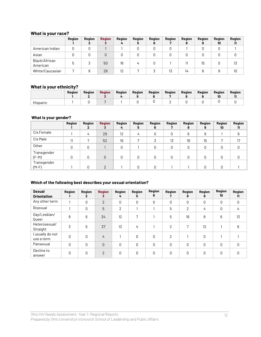## **What is your race?**

|                           | Region | Region | <b>Region</b> | Region | Region<br>5 | Region<br>O | Region | Region<br>8 | <b>Region</b> | Region<br>10 | Region<br>11 |
|---------------------------|--------|--------|---------------|--------|-------------|-------------|--------|-------------|---------------|--------------|--------------|
| American Indian           |        |        |               |        | 0           |             |        |             |               | 0            |              |
| Asian                     |        |        | 0             |        | 0           |             |        |             |               |              |              |
| Black/African<br>American |        |        | 50            | 16     | 4           |             |        |             | 15            | 0            | 13           |
| White/Caucasian           |        |        | 28            | 12     |             |             | 13     | 14          |               | 8            | 10           |

#### **What is your ethnicity?**

|          | Region | Region | <b>Region</b> | Region | Region | Region | Reaion | Region | Reaion | Region<br>10 | Region |
|----------|--------|--------|---------------|--------|--------|--------|--------|--------|--------|--------------|--------|
| Hispanic |        |        |               |        |        |        |        |        |        |              |        |

## **What is your gender?**

|                        | Region | Region | <b>Region</b> | Region | Region | Region | Region | Region | Region | Region | Region |
|------------------------|--------|--------|---------------|--------|--------|--------|--------|--------|--------|--------|--------|
|                        |        | 2      | 3             | 4      | 5      | 6      |        | 8      | 9      | 10     | 11     |
| Cis Female             |        | 4      | 29            | 12     | 4      | O      | 0      | 6      | 9      |        | 6      |
| Cis Male               | 11     |        | 52            | 16     |        |        | 13     | 18     | 15     |        | 17     |
| Other                  | 0      | 0      |               | U      |        | U      | 0      | 0      | 0      | 0      | U      |
| Transgender<br>$(F-M)$ | 0      | 0      | 0             | O      | 0      | O      | 0      | 0      | 0      | 0      |        |
| Transgender<br>$(M-F)$ |        |        | ∩             |        |        |        |        |        | 0      | 0      |        |

#### **Which of the following best describes your sexual orientation?**

| <b>Sexual</b><br><b>Orientation</b> | Region | Region<br>2 | <b>Region</b><br>3 | Region<br>4 | Region<br>5.  | Region<br>6 | Region<br>7    | <b>Region</b><br>8 | <b>Region</b><br>9 | Region<br>10 | Region<br>11 |
|-------------------------------------|--------|-------------|--------------------|-------------|---------------|-------------|----------------|--------------------|--------------------|--------------|--------------|
| Any other term                      |        | $\Omega$    | $\overline{2}$     | 0           | $\Omega$      | 0           | 0              | 0                  | 0                  | 0            | 0            |
| Bisexual                            |        | 0           | 5                  | 2           |               |             | 5              | 2                  | 4                  | 0            | 4            |
| Gay/Lesbian/<br>Queer               | 8      | 6           | 34                 | 12          | 7             |             | 5              | 16                 | 8                  | 6            | 13           |
| Heterosexual/<br>Straight           | 3      | 5           | 37                 | 13          | $\frac{1}{4}$ |             | $\overline{2}$ | 7                  | 12                 |              | 6            |
| I usually do not<br>use a term      | 0      | $\Omega$    | 4                  |             | 0             | 0           | $\overline{2}$ |                    | 0                  |              |              |
| Pansexual                           | 0      | $\Omega$    | 0                  | 0           | 0             | 0           | $\Omega$       | 0                  | 0                  | 0            | 0            |
| Decline to<br>answer                | 0      | $\Omega$    | $\overline{2}$     | 0           | 0             | 0           | 0              | 0                  | 0                  | 0            | 0            |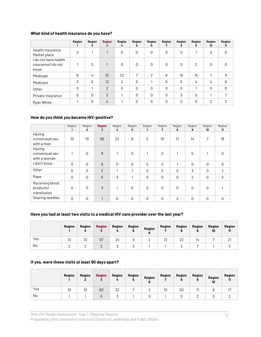#### **What kind of health insurance do you have?**

|                                                    | Region | Region<br>2 | <b>Region</b><br>3 | Region<br>4    | Region<br>5 | Region<br>6  | Region | Region<br>8 | Region<br>9    | Region<br>10   | Region<br>11 |
|----------------------------------------------------|--------|-------------|--------------------|----------------|-------------|--------------|--------|-------------|----------------|----------------|--------------|
| <b>Health Insurance</b><br>Market place            | 0      |             | 1                  | 0              | 0           | 0            | 0      | 0           |                | 0              | 0            |
| I do not have health<br>insurance/I do not<br>know |        | $\Omega$    |                    | 0              | 0           | 0            | 0      | 0           | $\overline{2}$ | 0              | 0            |
| Medicaid                                           | 8      | 4           | 61                 | 22             | 7           | 2            | 8      | 18          | 15             |                | 9            |
| Medicare                                           | 3      | 6           | 12                 | $\overline{2}$ | 5           |              | 6      | 5           | 4              | 4              | 6            |
| Other                                              | O      |             | $\overline{2}$     | 0              | 0           | 0            | 0      | 0           |                | 0              | 0            |
| Private insurance                                  | 0      | 0           | 3                  |                | 0           | $\mathbf{0}$ | 0      | 3           | 0              |                | 7            |
| Ryan White                                         |        | 0           | 4                  |                | 0           | 0            | 0      | 0           | 0              | $\overline{2}$ | 2            |

#### **How do you think you became HIV-positive?**

|                                             | Region<br>ı  | Region<br>$\mathbf{2}$ | <b>Region</b><br>3 | Region<br>4 | Region<br>5 | Region<br>6 | Region<br>7    | Region<br>8    | Region<br>9 | Region<br>10 | Region<br>11   |
|---------------------------------------------|--------------|------------------------|--------------------|-------------|-------------|-------------|----------------|----------------|-------------|--------------|----------------|
| Having<br>consensual sex<br>with a man      | 10           | 10                     | 56                 | 22          | 9           | 2           | 10             | 21             | 14          | 7            | 18             |
| Having<br>consensual sex<br>with a woman    |              | 0                      | 9                  |             | $\Omega$    |             | 2              |                | 5           |              | 0              |
| don't know                                  | $\mathbf{0}$ | 0                      | 8                  | 0           | 0           | 0           | 0              |                | 0           | 0            | 0              |
| Other                                       | 0            | 0                      | $\overline{2}$     |             |             | 0           | $\overline{2}$ | 0              | 3           | 0            | $\overline{2}$ |
| Rape                                        | 0            | 0                      | 5                  | 3           |             | 0           | 0              | $\mathbf{0}$   | 2           | 0            | 3              |
| Receiving blood<br>products/<br>transfusion | 0            | 0                      | 3                  |             | $\Omega$    | $\Omega$    | 0              | $\Omega$       | 0           | 0            |                |
| Sharing needles                             | $\Omega$     | 0                      | <b>1</b>           | 0           | 0           | 0           | 0              | $\overline{2}$ | 0           | 0            | 0              |

## **Have you had at least two visits to a medical HIV care provider over the last year?**

|     | Region | Region | <b>Region</b> | Region | Region | Region | <b>Region</b><br>ъ. | Region | <b>Region</b><br>9 | Region<br>10 | Region<br>11 |
|-----|--------|--------|---------------|--------|--------|--------|---------------------|--------|--------------------|--------------|--------------|
| Yes | 10     | 10     | 67            | 24     |        |        | 13                  | 22     | 14                 |              |              |
| No  |        |        |               |        |        |        |                     |        | -                  |              |              |

#### **If yes, were these visits at least 90 days apart?**

|     | Region | Region | <b>Region</b> | Region<br>4 | Region | Region<br>6 | Region<br>., | <b>Region</b><br>8 | Region | Region<br>10 | Region<br>11 |
|-----|--------|--------|---------------|-------------|--------|-------------|--------------|--------------------|--------|--------------|--------------|
| Yes | 10     | 10     | 60            | 22          |        |             | 10           | 20                 | 11     |              |              |
| No  |        |        |               |             |        |             |              |                    |        |              |              |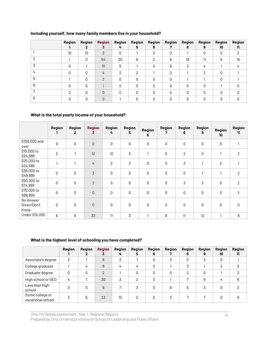| Including yourself, how many family members live in your household? |  |  |  |
|---------------------------------------------------------------------|--|--|--|
|---------------------------------------------------------------------|--|--|--|

|   | Region       | Region<br>2 | <b>Region</b><br>3 | <b>Region</b><br>4 | <b>Region</b><br>5 | <b>Region</b><br>6 | Region       | Region<br>8 | Region<br>9  | <b>Region</b><br>10 | <b>Region</b><br>11 |
|---|--------------|-------------|--------------------|--------------------|--------------------|--------------------|--------------|-------------|--------------|---------------------|---------------------|
|   | 10           | 10          | $\mathcal{P}$      | <sup>0</sup>       |                    | <sup>0</sup>       | <sup>0</sup> |             | $\Omega$     | <sup>n</sup>        | 2                   |
|   |              | $\Omega$    | 54                 | 20                 | 8                  | っ                  | 9            | 19          | 11           | 5                   | 15                  |
|   | $\Omega$     |             | 10                 | 5                  |                    | 0                  | 5            | 3           | 4            |                     |                     |
|   | <sup>0</sup> | O           | 4                  | C                  | っ                  |                    | 0            |             | 2            | 0                   |                     |
| 5 |              | U           | $\mathcal{P}$      | <sup>0</sup>       | $\Omega$           | 0                  | $\Omega$     |             |              | n                   |                     |
| 6 | 0            | U           |                    | $\Omega$           | $\Omega$           | 0                  | 0            | 0           | $\Omega$     |                     |                     |
|   | 0            | U           | 0                  | $\Omega$           | $\Omega$           | 0                  | $\Omega$     | 0           | 0            | U                   |                     |
|   | O            | U           | $\Omega$           |                    | $\Omega$           | O                  | <sup>0</sup> | 0           | <sup>0</sup> | U                   |                     |

#### **What is the total yearly income of your household?**

|                                  | <b>Region</b> | Region<br>$\mathbf{2}$ | <b>Region</b><br>3 | <b>Region</b><br>4 | Region<br>5    | Region<br>6  | Region<br>7 | Region<br>8    | Region<br>9 | <b>Region</b><br>10 <sup>10</sup> | <b>Region</b><br>11 |
|----------------------------------|---------------|------------------------|--------------------|--------------------|----------------|--------------|-------------|----------------|-------------|-----------------------------------|---------------------|
| \$100,000 and<br>over            | $\mathbf 0$   | $\mathbf 0$            | $\mathsf 0$        | $\mathsf 0$        | 0              | 0            | 0           | 0              | 0           | 0                                 | 1                   |
| \$15,000 to<br>\$24,999          | $\mathbf{2}$  | 1                      | 12                 | 10                 | 3              | 1            | 5           | $\overline{2}$ | 0           | $\mathbf{A}$                      | $\overline{2}$      |
| \$25,000 to<br>\$34,999          |               | 1                      | 4                  | $\mathbf{2}$       | $\overline{2}$ | 0            | 0           | 3              |             | $\overline{2}$                    | $\mathbf{1}$        |
| \$35,000 to<br>\$49,999          | $\mathbf 0$   | $\mathsf 0$            | $\mathfrak{Z}$     | $\mathsf 0$        | 0              | 0            | 0           | $\mathbf 0$    |             |                                   | $\overline{2}$      |
| \$50,000 to<br>\$74,999          | 0             | $\mathbf 0$            | $\overline{2}$     | 0                  | 0              | 0            | 0           | 3              | 3           | 0                                 | $\overline{2}$      |
| \$75,000 to<br>\$99,999          | $\mathbf 0$   | 0                      | 0                  | 0                  | 0              | 0            | 0           | 0              | 0           | 0                                 | 2                   |
| No Answer<br>Given/Don't<br>Know | $\mathbf 0$   | $\mathbf 0$            | $\mathsf 0$        | 0                  | 0              | 0            | 0           | 0              | 0           | 0                                 | $\mathsf 0$         |
| Under \$15,000                   | 6             | 8                      | 32                 | 11                 | 3              | $\mathbf{1}$ | 8           | 11             | 12          | 1                                 | 8                   |

## **What is the highest level of schooling you have completed?**

|                                      | Region | Region | <b>Region</b><br>3 | Region<br>4      | Region<br>5. | Region<br>6 | <b>Region</b> | Region<br>8 | Region<br>9 | Region<br>10 | <b>Region</b><br>11 |
|--------------------------------------|--------|--------|--------------------|------------------|--------------|-------------|---------------|-------------|-------------|--------------|---------------------|
| Associate's degree                   | 3      |        | 8                  | 3                |              | 0           | 3             |             | 3           | 0            |                     |
| College graduate                     |        | 4      | 9                  | 4                | 4            | 0           |               | 3           |             | 3            | 3                   |
| Graduate degree                      |        |        | $\overline{2}$     |                  | 0            | 0           | 0             | ∩           | 0           |              |                     |
| High school or GED                   | 4      |        | 30                 | 3                | っ            | 3           |               |             | 9           | 4            | 6                   |
| Less than high<br>school             |        | Ŋ      | 9                  |                  | 3            | 0           | 6             | 5           | 3           | 0            | ⌒                   |
| Some college or<br>vocational school |        | 'n     | 23                 | 10 <sup>10</sup> | 2            |             | 3             |             |             |              | 8                   |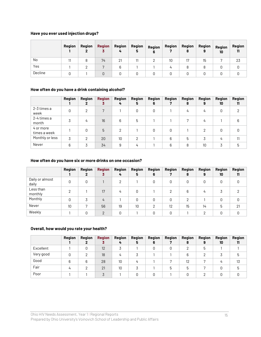#### **Have you ever used injection drugs?**

|         | Region | Region | <b>Region</b> | Region | Region<br>5 | Region<br>6 | Region | Region | Region | Region<br>10 | Region |
|---------|--------|--------|---------------|--------|-------------|-------------|--------|--------|--------|--------------|--------|
| No      |        | 8      | 74            | 21     | 11          | റ           | 10     | 17     | 15     |              | 23     |
| Yes     |        |        |               |        |             |             |        | 8      |        |              |        |
| Decline |        |        | 0             |        |             |             |        |        |        |              |        |

#### **How often do you have a drink containing alcohol?**

|                           | <b>Region</b> | Region | <b>Region</b><br>3 | Region<br>4 | Region<br>5 | <b>Region</b><br>6 | <b>Region</b> | Region<br>8 | Region<br>9 | Region<br>10 | <b>Region</b><br>11 |
|---------------------------|---------------|--------|--------------------|-------------|-------------|--------------------|---------------|-------------|-------------|--------------|---------------------|
| 2-3 times a<br>week       | $\Omega$      | っ      | 7                  |             | 0           | 0                  |               | 4           | 4           | 0            | റ                   |
| 2-4 times a<br>month      | 3             | 4      | 16 <sup>°</sup>    | 6           | 5           |                    |               |             | 4           |              | 6                   |
| 4 or more<br>times a week |               |        | 5                  | 2           |             | 0                  | O             |             | 2           | 0            | 0                   |
| Monthly or less           | 3             |        | 20                 | 10          | C           |                    | 6             | 5           |             | 4            | 11                  |
| Never                     | 6             |        | 34                 | 9           | 4           |                    | 6             | 8           | 10          | 3            | 5                   |

#### **How often do you have six or more drinks on one occasion?**

|                          | Region | Region | <b>Region</b><br>3 | Region<br>4 | <b>Region</b><br>5 | Region<br>6 | Region | Region<br>8 | Region<br>9 | <b>Region</b><br>10 | <b>Region</b><br>11 |
|--------------------------|--------|--------|--------------------|-------------|--------------------|-------------|--------|-------------|-------------|---------------------|---------------------|
| Daily or almost<br>daily | 0      |        |                    | റ           |                    |             | 0      |             | 0           | 0                   | 0                   |
| Less than<br>monthly     |        |        | 17                 | 4           |                    |             |        | 6           | 4           |                     |                     |
| Monthly                  | 0      |        | $\frac{1}{4}$      |             |                    | 0           | 0      | c           |             | 0                   | 0                   |
| Never                    | 10     |        | 56                 | 19          | 10                 | C           | 12     | 15          | 14          | 5                   | 21                  |
| Weekly                   |        |        | $\mathcal{P}$      | O           |                    |             | O      |             | ∩           | ∩                   | O                   |

#### **Overall, how would you rate your health?**

|           | Region | Region | <b>Region</b> | Region          | Region         | Region | Region | Region | Region | <b>Region</b> | <b>Region</b> |
|-----------|--------|--------|---------------|-----------------|----------------|--------|--------|--------|--------|---------------|---------------|
|           |        |        |               |                 |                | 6      |        | 8      | 9      | 10            | 11            |
| Excellent |        |        | 12            |                 |                |        |        |        | ხ      |               |               |
| Very good |        | റ      | 18            | 4               |                |        |        | 6      |        | . )           | ხ             |
| Good      | 6      | 6      | 28            | 10 <sup>°</sup> | $\overline{u}$ |        |        | 12     |        | 4             | 13            |
| Fair      | 4      |        | 21            | 10              |                |        | 5      | 5      |        | Ŋ             | 5             |
| Poor      |        |        |               |                 |                |        |        |        |        |               |               |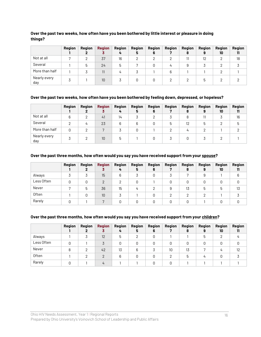#### **Over the past two weeks, how often have you been bothered by little interest or pleasure in doing things?**

|                     | Region | Region | <b>Region</b> | Region | Region | Region | Region | Region | <b>Region</b> | <b>Region</b> | Region |
|---------------------|--------|--------|---------------|--------|--------|--------|--------|--------|---------------|---------------|--------|
|                     |        |        |               | 4      | 5      | 6      |        | o      | 9             | 10            | 11     |
| Not at all          |        |        | 37            | 16     | C      | ◠      |        | 11     | 12            | C             | 18     |
| Several             |        |        | 24            | 5      |        |        | 4      | 9      |               |               |        |
| More than half      |        |        | 11            | 4      |        |        | 6      |        |               |               |        |
| Nearly every<br>day |        |        | 10            |        |        |        |        |        | h             |               |        |

#### **Over the past two weeks, how often have you been bothered by feeling down, depressed, or hopeless?**

|                     | Region | <b>Region</b> | <b>Region</b> | <b>Region</b><br>4 | Region<br>5 | Region<br>6 | Region | Region<br>8 | <b>Region</b><br>9 | <b>Region</b><br>10 | Region<br>11 |
|---------------------|--------|---------------|---------------|--------------------|-------------|-------------|--------|-------------|--------------------|---------------------|--------------|
| Not at all          | 6      |               | 41            | 14                 |             | ∩           |        | 8           |                    |                     | 16           |
| Several             |        |               | 23            | 6                  | 6           | 0           | 5      | 12          | 5                  |                     | 5            |
| More than half      | 0      |               | Ξ             |                    |             |             |        | 4           |                    |                     |              |
| Nearly every<br>day | 3      |               | 10            | 5                  |             | O           |        | 0           |                    |                     |              |

#### **Over the past three months, how often would you say you have received support from your spouse?**

|            | Region | Region | <b>Region</b> | Region | Region | Region | Region | Region | <b>Region</b> | <b>Region</b> | <b>Region</b> |
|------------|--------|--------|---------------|--------|--------|--------|--------|--------|---------------|---------------|---------------|
|            |        |        |               | 4      | 5      | 6      |        |        |               | 10            | 11            |
| Always     |        |        | 15            | հ      |        | 0      |        |        |               |               | 6             |
| Less Often |        |        | $\Omega$      |        | 0      |        |        | 0      |               | 0             |               |
| Never      |        | 'n     | 36            | 15     | 4      | ◠      |        | 13     | 5             | 5             | 13            |
| Often      |        |        | 10            |        |        |        |        |        |               |               |               |
| Rarely     |        |        |               |        |        |        |        | 0      |               | 0             |               |

#### **Over the past three months, how often would you say you have received support from your children?**

|            | Region | Region | <b>Region</b> | Region | Region   | Region | Region | Region | Region | Region | <b>Region</b> |
|------------|--------|--------|---------------|--------|----------|--------|--------|--------|--------|--------|---------------|
|            |        |        |               | 4      | 5        | 6      |        | 8      | 9      | 10     | 11            |
| Always     |        |        | 12            | 5      | C        | O      |        |        | 5      | C      | 4             |
| Less Often | 0      |        |               |        |          | 0      |        | 0      |        |        |               |
| Never      |        |        | 42            | 13     | 6        |        | 10     | 13     |        |        | 12            |
| Often      |        |        | റ             | 6      | $\Omega$ | 0      |        | 5      | 4      |        |               |
| Rarely     | Ŋ      |        | 4             |        |          | O      |        |        |        |        |               |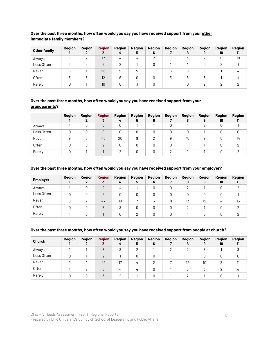#### Over the past three months, how often would you say you have received support from your other **immediate family members?**

| <b>Other family</b> | Region | Region | <b>Region</b> | Region | Region | Region | Region | Region | <b>Region</b> | <b>Region</b> | Region |
|---------------------|--------|--------|---------------|--------|--------|--------|--------|--------|---------------|---------------|--------|
|                     |        |        |               |        |        |        |        |        |               | 10            |        |
| Always              |        |        | 17            | ப      |        |        |        |        |               |               | 10     |
| Less Often          |        |        | 6             |        |        |        |        |        |               | $\Omega$      |        |
| Never               | 6      |        | 26            |        | 5      |        | 6      | 9      | 6             |               |        |
| Often               |        |        | 12            | հ      |        | ſ      |        | 6      |               |               |        |
| Rarely              |        |        | 10            |        |        |        |        | O      |               |               |        |

#### **Over the past three months, how often would you say you have received support from your grandparents?**

|            | Region | <b>Region</b> | <b>Region</b> | Region | Region | Region | Region | Region | Region | <b>Region</b> | <b>Region</b> |
|------------|--------|---------------|---------------|--------|--------|--------|--------|--------|--------|---------------|---------------|
|            |        |               |               | 4      | 5      |        |        | 8      | 9      | 10            | 11            |
| Always     |        |               | 5             |        |        |        |        |        |        | 0             |               |
| Less Often |        |               | 0             |        |        | 0      | O      | 0      |        | 0             | 0             |
| Never      | 9      | 6             | 45            | 20     | 9      | C      | 9      | 15     | 9      | 5             | 14            |
| Often      |        |               | ⌒             |        |        | 0      | 0      |        |        | 0             | C             |
| Rarely     |        |               |               |        | ∩      | Ŋ      | ∩      |        |        | O             | C             |

#### **Over the past three months, how often would you say you have received support from your employer?**

| <b>Employer</b> | Region | Region | <b>Region</b> | Region<br>4 | Region<br>5 | Region<br>6 | Region | Region<br>8 | <b>Region</b> | Region<br>10 | Region<br>11 |
|-----------------|--------|--------|---------------|-------------|-------------|-------------|--------|-------------|---------------|--------------|--------------|
| Always          |        |        |               | 4           |             |             |        |             |               |              | C            |
| Less Often      | Ŋ      |        | ∩             |             | 0           |             |        |             |               |              |              |
| Never           |        |        | 47            | 18          |             | Ő.          |        | 13          | 12            | 4            | 13           |
| Often           |        |        | 5             |             |             |             |        |             |               |              | C            |
| Rarely          |        |        |               |             |             |             |        |             |               |              |              |

#### **Over the past three months, how often would you say you have received support from people at church?**

| <b>Church</b> | Region | <b>Region</b> | <b>Region</b> | Region<br>4 | <b>Region</b><br>5 | Region<br>6 | Region   | Region<br>8 | <b>Region</b><br>9 | Region<br>10 | Region<br>11 |
|---------------|--------|---------------|---------------|-------------|--------------------|-------------|----------|-------------|--------------------|--------------|--------------|
| Always        |        |               | 6             |             | C                  |             | $\Omega$ |             | ხ                  |              |              |
| Less Often    | 0      |               | C             |             |                    | 0           |          |             |                    | 0            |              |
| Never         | 9      | 4             | 42            | 17          |                    | ∩           |          | 12          | 10                 |              |              |
| Often         |        |               | 6             | 4           |                    |             |          |             |                    | റ            | 4            |
| Rarely        | 0      |               |               |             |                    |             |          |             |                    |              |              |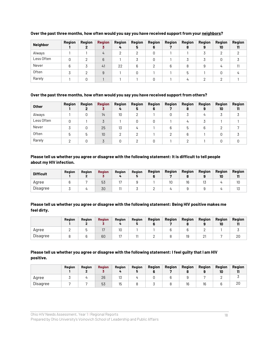| <b>Neighbor</b> | Region | <b>Region</b> | <b>Region</b> | Region<br>4 | Region<br>5 | <b>Region</b><br>6 | Region | Region<br>8 | Region<br>g | <b>Region</b><br>10 | <b>Region</b><br>11 |
|-----------------|--------|---------------|---------------|-------------|-------------|--------------------|--------|-------------|-------------|---------------------|---------------------|
| Always          |        |               |               |             |             | 0                  |        |             |             |                     |                     |
| Less Often      | O      |               | 6             |             |             | 0                  |        |             |             | 0                   |                     |
| Never           | 6      |               | 41            | 22          | 6           | ∩                  | 6      | 8           | 9           | 4                   |                     |
| Often           |        |               |               |             |             |                    |        | ხ           |             |                     |                     |
| Rarely          |        |               |               |             |             | C                  |        |             | C           |                     |                     |

#### **Over the past three months, how often would you say you have received support from your neighbors?**

#### **Over the past three months, how often would you say you have received support from others?**

| <b>Other</b> | Region | <b>Region</b> | <b>Region</b> | Region<br>4 | Region<br>5 | <b>Region</b><br>6 | Region | Region<br>8 | Region<br>9    | <b>Region</b><br>10 | <b>Region</b><br>11 |
|--------------|--------|---------------|---------------|-------------|-------------|--------------------|--------|-------------|----------------|---------------------|---------------------|
| Always       |        |               | 14            | 10          | ∩           |                    |        |             | $\overline{4}$ |                     |                     |
| Less Often   |        |               |               |             |             | 0                  |        | 4           |                |                     |                     |
| Never        |        |               | 25            | 13          | 4           |                    | 6      | ხ           | 6              |                     |                     |
| Often        | 5      |               | 10            |             |             |                    |        |             |                | 0                   |                     |
| Rarely       |        |               |               |             |             | n                  |        |             |                | 0                   |                     |

#### **Please tell us whether you agree or disagree with the following statement: It is difficult to tell people about my HIV infection.**

| <b>Difficult</b> | <b>Region</b> | Reaion | <b>Region</b> | Reaion | Region | <b>Region</b> | <b>Region</b> | Region | Region  | Region | <b>Region</b> |
|------------------|---------------|--------|---------------|--------|--------|---------------|---------------|--------|---------|--------|---------------|
| Aaree            |               |        | 53            |        |        |               | 10            | 16     | 17<br>υ |        | 10            |
| Disagree         |               |        | 30            |        |        |               |               |        |         |        | ιυ            |

**Please tell us whether you agree or disagree with the following statement: Being HIV positive makes me feel dirty.**

|          | <b>Region</b> | Region | <b>Region</b> | Region | Region | Region | Region | <b>Region</b> | Region   | <b>Region</b><br>10 | Region<br> |
|----------|---------------|--------|---------------|--------|--------|--------|--------|---------------|----------|---------------------|------------|
| Agree    |               |        |               | 10     |        |        |        |               |          |                     |            |
| Disagree |               |        | 60            |        |        |        |        | 19            | <u>_</u> |                     | 20         |

## **Please tell us whether you agree or disagree with the following statement: I feel guilty that I am HIV positive.**

|          | Region | <b>Region</b> | <b>Region</b> | <b>Region</b> | Region | Region | Region | Region | Region | <b>Region</b><br>10 | Region<br>ш |
|----------|--------|---------------|---------------|---------------|--------|--------|--------|--------|--------|---------------------|-------------|
| Agree    |        |               | 26            | ιJ            |        |        |        |        |        |                     |             |
| Disagree |        |               | 53            | 15            |        |        |        |        | 16     |                     | 20          |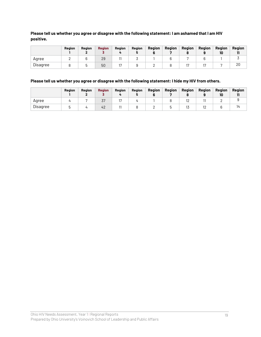#### **Please tell us whether you agree or disagree with the following statement: I am ashamed that I am HIV positive.**

|          | <b>Region</b> | <b>Region</b> | <b>Region</b> | Region | Region | Region | Region | Region | Region | Region<br>10 | Reajon<br> |
|----------|---------------|---------------|---------------|--------|--------|--------|--------|--------|--------|--------------|------------|
| Aaree    |               |               | 29            |        |        |        |        |        |        |              |            |
| Disagree |               |               | 50            |        |        |        |        |        |        |              | ∠∪         |

#### **Please tell us whether you agree or disagree with the following statement: I hide my HIV from others.**

|          | Region | Region | <b>Region</b> | Region | Region | Region | Region | Region | Region | <b>Region</b> | Region<br> |
|----------|--------|--------|---------------|--------|--------|--------|--------|--------|--------|---------------|------------|
| Agree    |        |        | ັ             |        |        |        |        | ▵      |        |               |            |
| Disagree |        |        | 4'            |        |        |        |        | ιυ     | ⊢      |               |            |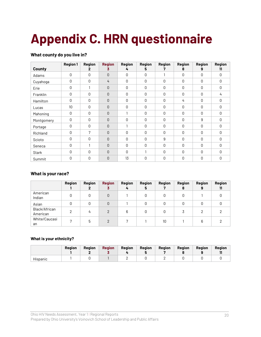# **Appendix C. HRN questionnaire**

## **What county do you live in?**

| <b>County</b> | <b>Region 1</b> | <b>Region</b><br>2 | <b>Region</b><br>3 | <b>Region</b><br>4 | <b>Region</b><br>5 | <b>Region</b><br>7 | <b>Region</b><br>8 | <b>Region</b><br>9 | Region<br>11 |
|---------------|-----------------|--------------------|--------------------|--------------------|--------------------|--------------------|--------------------|--------------------|--------------|
| Adams         | 0               | 0                  | 0                  | 0                  | 0                  | 1                  | 0                  | 0                  | 0            |
| Cuyahoga      | 0               | 0                  | 4                  | 0                  | 0                  | 0                  | 0                  | 0                  | $\Omega$     |
| Erie          | 0               | 1                  | 0                  | 0                  | 0                  | 0                  | 0                  | 0                  | 0            |
| Franklin      | 0               | 0                  | 0                  | 0                  | 0                  | 0                  | 0                  | 0                  | 4            |
| Hamilton      | 0               | 0                  | 0                  | 0                  | 0                  | 0                  | 4                  | 0                  | $\Omega$     |
| Lucas         | 10              | 0                  | 0                  | 0                  | 0                  | 0                  | 0                  | 0                  | 0            |
| Mahoning      | 0               | 0                  | 0                  |                    | 0                  | 0                  | 0                  | 0                  | 0            |
| Montgomery    | 0               | 0                  | 0                  | 0                  | 0                  | 0                  | 0                  | 9                  | 0            |
| Portage       | 0               | 0                  | 0                  |                    | 0                  | 0                  | 0                  | 0                  | <sup>0</sup> |
| Richland      | 0               | 7                  | 0                  | 0                  | 0                  | 0                  | 0                  | 0                  | $\Omega$     |
| Scioto        | 0               | 0                  | 0                  | 0                  | 0                  | 9                  | 0                  | 0                  | $\Omega$     |
| Seneca        | 0               |                    | 0                  | 0                  | 0                  | 0                  | 0                  | 0                  | 0            |
| <b>Stark</b>  | 0               | 0                  | 0                  | 0                  |                    | 0                  | 0                  | 0                  | 0            |
| Summit        | 0               | 0                  | 0                  | 13                 | 0                  | 0                  | 0                  | 0                  | 0            |

#### **What is your race?**

|                           | Region | Region | <b>Region</b> | <b>Region</b><br>4 | Region<br>∍ | Region | Region<br>8 | Region<br>9 | Region<br>ш |
|---------------------------|--------|--------|---------------|--------------------|-------------|--------|-------------|-------------|-------------|
| American<br>Indian        |        | 0      | 0             |                    |             | 0      |             |             |             |
| Asian                     |        | 0      | 0             |                    |             | 0      |             | ∩           |             |
| Black/African<br>American | ∩      | 4      | C             | 6                  |             | 0      |             |             |             |
| White/Caucasi<br>an       |        | 5      | C             |                    |             | 10     |             | 6           |             |

#### **What is your ethnicity?**

|          | <b>Region</b> | <b>Region</b> | <b>Region</b> | Region | <b>Region</b> | <b>Region</b> | Region | <b>Region</b> | Region |
|----------|---------------|---------------|---------------|--------|---------------|---------------|--------|---------------|--------|
| Hispanic |               |               |               | -      |               | -             |        |               |        |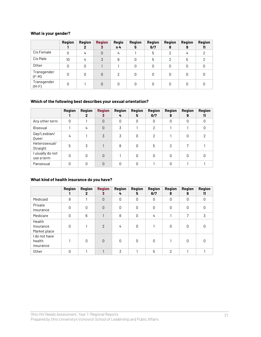## **What is your gender?**

|                        | <b>Region</b> | Region | <b>Region</b><br>3 | Regio<br>n <sub>4</sub> | Region<br>5 | <b>Region</b><br>6/7 | Region<br>8   | Region<br>9 | Region<br>11 |
|------------------------|---------------|--------|--------------------|-------------------------|-------------|----------------------|---------------|-------------|--------------|
| Cis Female             | 0             | 4      | $\Omega$           | 4                       |             | 5                    | $\mathcal{D}$ | 4           | 2            |
| Cis Male               | 10            | 4      | 3                  | 8                       | 0           | 5                    | $\mathcal{P}$ | 5           | 2            |
| Other                  | 0             | 0      |                    |                         | 0           | 0                    | 0             | 0           |              |
| Transgender<br>$(F-M)$ | 0             | 0      | 0                  | 2                       | O           | 0                    | U             | 0           |              |
| Transgender<br>$(M-F)$ | O             |        | 0                  | 0                       |             | 0                    | Ŋ             |             |              |

## **Which of the following best describes your sexual orientation?**

|                                | Region | Region<br>$\mathbf{2}$ | <b>Region</b><br>3 | <b>Region</b><br>4 | <b>Region</b><br>5 | <b>Region</b><br>6/7 | Region<br>8    | Region<br>9 | <b>Region</b><br>11 |
|--------------------------------|--------|------------------------|--------------------|--------------------|--------------------|----------------------|----------------|-------------|---------------------|
| Any other term                 | 0      |                        | $\Omega$           | 0                  | 0                  | 0                    | 0              | 0           | 0                   |
| Bisexual                       |        | 4                      | $\Omega$           | 3                  |                    | $\overline{2}$       |                |             | Ŋ                   |
| Gay/Lesbian/<br>Queer          | 4      |                        | 3                  | 3                  | O                  | 2                    |                | O           | っ                   |
| Heterosexual/<br>Straight      | 5      | 3                      |                    | 8                  | 0                  | 5                    | $\overline{2}$ |             |                     |
| I usually do not<br>use a term | 0      | 0                      | $\Omega$           |                    | 0                  | 0                    | 0              | 0           | Ŋ                   |
| Pansexual                      | Ŋ      |                        | $\Omega$           | O                  | Ŋ                  |                      | O              |             |                     |

## **What kind of health insurance do you have?**

|                                      | <b>Region</b> | <b>Region</b><br>2 | <b>Region</b><br>3 | <b>Region</b><br>4 | <b>Region</b><br>5 | <b>Region</b><br>6/7 | <b>Region</b><br>8 | <b>Region</b><br>9 | <b>Region</b><br>11 |
|--------------------------------------|---------------|--------------------|--------------------|--------------------|--------------------|----------------------|--------------------|--------------------|---------------------|
| Medicaid                             | 9             |                    | $\Omega$           | 0                  | 0                  | 0                    | 0                  | 0                  | 0                   |
| Private<br>insurance                 | $\mathbf{0}$  | $\Omega$           | $\Omega$           | 0                  | 0                  | 0                    | 0                  | 0                  | 0                   |
| Medicare                             | 0             | 6                  |                    | 8                  | $\Omega$           | 4                    |                    | 7                  | 3                   |
| Health<br>Insurance<br>Market place  | 0             |                    | 2                  | 4                  | 0                  |                      | 0                  | 0                  | 0                   |
| I do not have<br>health<br>insurance |               | $\Omega$           | $\mathbf 0$        | 0                  | 0                  | 0                    |                    | 0                  | 0                   |
| Other                                | 0             |                    |                    | 3                  | 1                  | 5                    | $\overline{2}$     |                    |                     |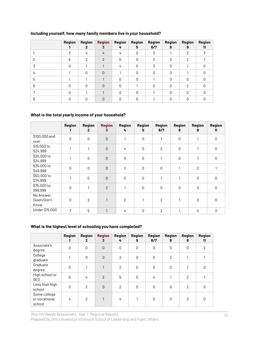|   | Region | Region<br>2   | <b>Region</b><br>3 | Region<br>4 | Region<br>5 | <b>Region</b><br>6/7 | <b>Region</b><br>8 | Region<br>9 | <b>Region</b><br>11 |
|---|--------|---------------|--------------------|-------------|-------------|----------------------|--------------------|-------------|---------------------|
|   | 3      | 4             | $\overline{4}$     | 4           | 0           | 2                    |                    | 3           |                     |
| 2 | 5      | $\mathcal{P}$ | $\mathcal{P}$      | 5           | $\Omega$    | 2                    | 3                  | 2           |                     |
| 3 | U      |               |                    | 4           | 0           | 3                    | 0                  |             | U                   |
| 4 |        | $\Omega$      | $\Omega$           |             | 0           | 0                    | 0                  |             | O                   |
| 5 |        |               |                    | O           | 0           |                      | $\Omega$           | Ŋ           | U                   |
| 6 | U      | U             | $\Omega$           | $\Omega$    |             | O                    | $\cap$             | 2           |                     |
| 7 | U      |               |                    | U           | $\Omega$    |                      | $\bigcap$          | U           | U                   |
| 8 | n      | U             | $\cap$             | U           | $\Omega$    |                      | U                  |             |                     |

#### **Including yourself, how many family members live in your household?**

#### **What is the total yearly income of your household?**

|                                  | <b>Region</b> | Region<br>$\mathbf{2}$ | <b>Region</b><br>3 | <b>Region</b><br>4 | Region<br>5 | <b>Region</b><br>6/7 | Region<br>8 | Region<br>9    | Region<br>11 |
|----------------------------------|---------------|------------------------|--------------------|--------------------|-------------|----------------------|-------------|----------------|--------------|
| \$100,000 and<br>over            | 0             | 0                      | $\overline{0}$     | 1                  | 0           | 1                    | 0           | 1              | $\mathbf 0$  |
| \$15,000 to<br>\$24,999          |               | 1                      | $\overline{0}$     | 4                  | 0           | $\overline{2}$       | 0           | 1              | $\mathbf 0$  |
| \$25,000 to<br>\$34,999          |               | 0                      | $\overline{0}$     | 0                  | 0           | 1                    | 0           | $\mathbf{1}$   | $\mathbf 0$  |
| \$35,000 to<br>\$49,999          | 0             | 0                      | $\overline{0}$     | $\mathbf{2}$       | 0           | 0                    |             | $\overline{2}$ |              |
| \$50,000 to<br>\$74,999          |               | 0                      | $\overline{0}$     | 0                  | 0           | 1                    | 1           | 0              | $\mathbf 0$  |
| \$75,000 to<br>\$99,999          | $\mathbf 0$   | 1                      | $\overline{2}$     | 1                  | 0           | 0                    | 0           | 0              | $\mathbf 0$  |
| No Answer<br>Given/Don't<br>Know | 0             | $\overline{2}$         | $\mathbf{1}$       | $\overline{2}$     |             | 2                    |             | 0              | 0            |
| Under \$15,000                   | 7             | 5                      | 1                  | 4                  | 0           | 2                    | 1           | 4              | 3            |

#### **What is the highest level of schooling you have completed?**

|                                         | <b>Region</b><br>н | <b>Region</b><br>$\mathbf{2}$ | <b>Region</b><br>3 | <b>Region</b><br>4 | <b>Region</b><br>5 | <b>Region</b><br>6/7 | <b>Region</b><br>8 | <b>Region</b><br>9 | <b>Region</b><br>11 |
|-----------------------------------------|--------------------|-------------------------------|--------------------|--------------------|--------------------|----------------------|--------------------|--------------------|---------------------|
| Associate's<br>degree                   | $\mathbf{0}$       | 0                             | $\mathbf{0}$       | 0                  | 0                  | 0                    | 0                  | 0                  | 2                   |
| College<br>graduate                     |                    | 0                             | $\Omega$           | $\overline{2}$     | $\Omega$           | 0                    | $\overline{2}$     |                    |                     |
| Graduate<br>degree                      | 0                  |                               | 1                  | 2                  | $\mathbf 0$        | $\mathbf 0$          | 0                  |                    | 0                   |
| High school or<br>GED                   | 5                  | 4                             | $\overline{2}$     | 5                  | 0                  | 4                    |                    | $\overline{2}$     |                     |
| Less than high<br>school                | $\mathbf{0}$       | 2                             | $\overline{0}$     | $\overline{2}$     | 0                  | 0                    | $\Omega$           | $\overline{2}$     | $\Omega$            |
| Some college<br>or vocational<br>school | 4                  | $\overline{2}$                |                    | 4                  |                    | 5                    | 0                  | 3                  | O                   |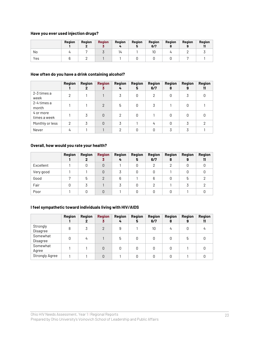#### **Have you ever used injection drugs?**

|     | Region | Region | <b>Region</b> | Region | Region | Region<br>6/7 | Region | Region | Region<br> |
|-----|--------|--------|---------------|--------|--------|---------------|--------|--------|------------|
| No  |        |        |               | 14     |        | 10            |        |        |            |
| Yes |        |        |               |        |        |               |        |        |            |

#### **How often do you have a drink containing alcohol?**

|                           | <b>Region</b> | Region<br>2 | <b>Region</b><br>3 | Region<br>4 | Region<br>5 | Region<br>6/7 | Region<br>8 | Region<br>9 | Region<br>11 |
|---------------------------|---------------|-------------|--------------------|-------------|-------------|---------------|-------------|-------------|--------------|
| 2-3 times a<br>week       | 2             |             |                    | 3           | 0           | 2             | 0           | 3           | O            |
| 2-4 times a<br>month      |               |             | 2                  | 5           | 0           | 3             |             |             |              |
| 4 or more<br>times a week |               | 3           | $\Omega$           | 2           | 0           |               | O           | O           |              |
| Monthly or less           | 2             | 3           | $\Omega$           | 3           |             | 4             | $\Omega$    | 3           | റ            |
| Never                     | 4             |             |                    | າ           | 0           |               |             |             |              |

#### **Overall, how would you rate your health?**

|           | Region | Region | <b>Region</b><br>3 | <b>Region</b><br>4 | <b>Region</b><br>5 | <b>Region</b><br>6/7 | Region<br>8 | <b>Region</b><br>9 | Region<br>11 |
|-----------|--------|--------|--------------------|--------------------|--------------------|----------------------|-------------|--------------------|--------------|
| Excellent |        |        | $\Omega$           |                    | 0                  | っ                    | っ           | O                  |              |
| Very good |        |        | 0                  |                    | 0                  | 0                    |             |                    |              |
| Good      |        | 5      | 2                  | 6                  |                    | 6                    | O           | 5                  |              |
| Fair      |        |        |                    |                    | 0                  |                      |             |                    |              |
| Poor      |        |        | $\Omega$           |                    |                    |                      |             |                    |              |

## **I feel sympathetic toward individuals living with HIV/AIDS**

|                       | <b>Region</b> | Region<br>2 | <b>Region</b><br>3 | Region<br>4 | <b>Region</b><br>5 | <b>Region</b><br>6/7 | Region<br>8 | Region<br>9 | Region<br>11 |
|-----------------------|---------------|-------------|--------------------|-------------|--------------------|----------------------|-------------|-------------|--------------|
| Strongly<br>Disagree  | 8             |             | $\mathfrak{p}$     | 9           |                    | 10                   | 4           |             | 4            |
| Somewhat<br>Disagree  | 0             | 4           |                    | 5           | 0                  | 0                    | 0           | 5           |              |
| Somewhat<br>Agree     |               |             | 0                  | 0           | 0                  | Ŋ                    | Ŋ           |             |              |
| <b>Strongly Agree</b> |               |             | $\Omega$           |             | 0                  | 0                    | O           |             |              |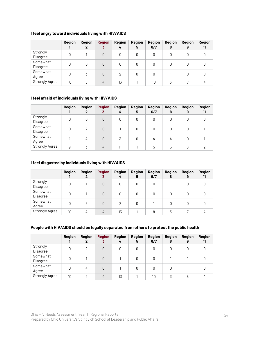#### **I feel angry toward individuals living with HIV/AIDS**

|                       | Region | Region<br>2 | <b>Region</b><br>3 | Region<br>4 | <b>Region</b><br>5 | <b>Region</b><br>6/7 | Region<br>8 | <b>Region</b><br>9 | <b>Region</b><br>11 |
|-----------------------|--------|-------------|--------------------|-------------|--------------------|----------------------|-------------|--------------------|---------------------|
| Strongly<br>Disagree  | 0      |             | 0                  | 0           | 0                  | 0                    | 0           | 0                  |                     |
| Somewhat<br>Disagree  | 0      |             | $\Omega$           | 0           | 0                  | 0                    | 0           | 0                  |                     |
| Somewhat<br>Agree     | 0      | 3           | $\Omega$           | 2           | 0                  | 0                    |             | 0                  |                     |
| <b>Strongly Agree</b> | 10     | 5           | 4                  | 13          |                    | 10                   |             |                    |                     |

#### **I feel afraid of individuals living with HIV/AIDS**

|                       | <b>Region</b> | Region<br>2 | <b>Region</b><br>3 | <b>Region</b><br>4 | <b>Region</b><br>5 | <b>Region</b><br>6/7 | <b>Region</b><br>8 | <b>Region</b><br>9 | Region<br>11 |
|-----------------------|---------------|-------------|--------------------|--------------------|--------------------|----------------------|--------------------|--------------------|--------------|
| Strongly<br>Disagree  | 0             | 0           | 0                  | 0                  | 0                  | 0                    | 0                  | 0                  |              |
| Somewhat<br>Disagree  | 0             | 2           | 0                  |                    | 0                  | 0                    | 0                  | 0                  |              |
| Somewhat<br>Agree     |               | 4           | 0                  | 3                  | 0                  | 4                    | 4                  | 0                  |              |
| <b>Strongly Agree</b> | 9             |             | 4                  | 11                 |                    | 5                    | 5                  | 6                  | ⌒            |

#### **I feel disgusted by individuals living with HIV/AIDS**

|                       | <b>Region</b> | Region<br>2 | <b>Region</b><br>3 | <b>Region</b><br>4 | Region<br>5 | <b>Region</b><br>6/7 | Region<br>8 | Region<br>9 | Region<br>11 |
|-----------------------|---------------|-------------|--------------------|--------------------|-------------|----------------------|-------------|-------------|--------------|
| Strongly<br>Disagree  | 0             |             | $\Omega$           | 0                  | 0           | 0                    |             |             |              |
| Somewhat<br>Disagree  | 0             |             | $\Omega$           | 0                  | 0           | 0                    | 0           | 0           |              |
| Somewhat<br>Agree     | 0             | 3           | $\Omega$           |                    | 0           |                      |             |             |              |
| <b>Strongly Agree</b> | 10            | 4           | 4                  | 13                 |             | 8                    |             |             |              |

#### **People with HIV/AIDS should be legally separated from others to protect the public health**

|                       | Region | Region<br>2   | <b>Region</b><br>3 | <b>Region</b><br>4 | <b>Region</b><br>5 | <b>Region</b><br>6/7 | Region<br>8 | Region<br>9 | <b>Region</b><br>11 |
|-----------------------|--------|---------------|--------------------|--------------------|--------------------|----------------------|-------------|-------------|---------------------|
| Strongly<br>Disagree  | 0      | $\mathcal{P}$ | $\Omega$           |                    | 0                  | 0                    | 0           | 0           | Ŋ                   |
| Somewhat<br>Disagree  | 0      |               | $\Omega$           |                    | 0                  | 0                    |             |             |                     |
| Somewhat<br>Agree     | 0      | 4             | $\Omega$           |                    | 0                  | 0                    | 0           |             | Ω                   |
| <b>Strongly Agree</b> | 10     | $\mathcal{P}$ | 4                  | 13                 |                    | 10                   | 3           | 5           | 4                   |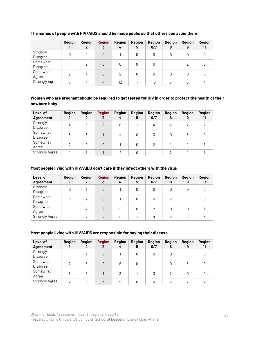|                       | Region | Region<br>2   | <b>Region</b><br>3 | Region<br>4 | <b>Region</b><br>5 | Region<br>6/7 | Region<br>8 | Region<br>9 | <b>Region</b><br>11 |
|-----------------------|--------|---------------|--------------------|-------------|--------------------|---------------|-------------|-------------|---------------------|
| Strongly<br>Disagree  | 0      | $\mathcal{P}$ | 0                  |             |                    | 0             |             | 0           |                     |
| Somewhat<br>Disagree  |        | 2             | 0                  | 0           | 0                  | 0             |             | っ           |                     |
| Somewhat<br>Agree     | ↷      |               | 0                  | 2           | 0                  | 0             | 0           | 0           |                     |
| <b>Strongly Agree</b> |        | 4             | 4                  | 12          |                    | 10            |             | 5           | 4                   |

#### **The names of people with HIV/AIDS should be made public so that others can avoid them**

#### **Women who are pregnant should be required to get tested for HIV in order to protect the health of their newborn baby**

| Level of<br><b>Agreement</b> | Region | Region<br>$\mathbf{2}$ | <b>Region</b><br>3 | Region<br>4 | Region<br>5 | <b>Region</b><br>6/7 | Region<br>8 | Region<br>9 | <b>Region</b><br>11 |
|------------------------------|--------|------------------------|--------------------|-------------|-------------|----------------------|-------------|-------------|---------------------|
| Strongly<br>Disagree         | 4      | 5                      | $\overline{2}$     | 8           |             | 4                    | 2           | າ           | ⌒                   |
| Somewhat<br>Disagree         | 3      | 3                      |                    | 4           | 0           | 3                    | 0           |             |                     |
| Somewhat<br>Agree            | っ      | U                      | $\Omega$           |             | 0           |                      |             |             |                     |
| <b>Strongly Agree</b>        |        |                        |                    | C           | U           |                      | ∩           |             |                     |

#### **Most people living with HIV/AIDS don't care if they infect others with the virus**

| <b>Level of</b><br><b>Agreement</b> | Region | Region<br>2 | <b>Region</b><br>3 | Region<br>4   | Region<br>5 | <b>Region</b><br>6/7 | <b>Region</b><br>8 | <b>Region</b><br>9 | Region<br>11 |
|-------------------------------------|--------|-------------|--------------------|---------------|-------------|----------------------|--------------------|--------------------|--------------|
| Strongly<br>Disagree                | 0      |             | 0                  |               | 0           | 0                    | 0                  | 0                  | 0            |
| Somewhat<br>Disagree                | 3      | 2           | $\Omega$           |               | 0           | 0                    | 2                  |                    |              |
| Somewhat<br>Agree                   |        | 4           | $\mathcal{P}$      | $\mathcal{P}$ | 0           | 2                    | 0                  |                    |              |
| <b>Strongly Agree</b>               | 6      | ⌒           | $\mathcal{P}$      | 11            |             | 8                    | っ                  | 5                  |              |

#### **Most people living with HIV/AIDS are responsible for having their disease**

| <b>Level of</b><br><b>Agreement</b> | <b>Region</b> | Region<br>2 | <b>Region</b><br>3 | Region<br>4 | Region<br>5 | Region<br>6/7 | <b>Region</b><br>8 | <b>Region</b><br>9 | Region<br>11 |
|-------------------------------------|---------------|-------------|--------------------|-------------|-------------|---------------|--------------------|--------------------|--------------|
| Strongly<br>Disagree                |               |             | 0                  |             | 0           | 0             | 0                  |                    |              |
| Somewhat<br>Disagree                | っ             | 5           | 0                  | 6           | 0           |               | 0                  | 3                  |              |
| Somewhat<br>Agree                   | 5             | 3           |                    | 3           |             | 3             | 2                  |                    |              |
| <b>Strongly Agree</b>               | っ             | U           | 3                  | 5           | 0           | 6             | ⌒                  | ⌒                  | 4            |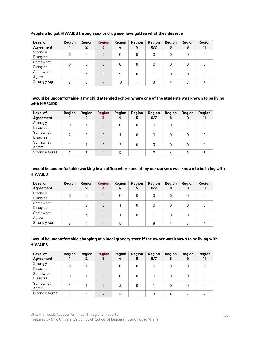| Level of              | <b>Region</b> | Region | <b>Region</b> | Region<br>4 | Region | <b>Region</b><br>6/7 | Region    | <b>Region</b> | Region |
|-----------------------|---------------|--------|---------------|-------------|--------|----------------------|-----------|---------------|--------|
| <b>Agreement</b>      |               | 2      | 3             |             | 5      |                      | 8         | 9             | 11     |
| Strongly              | 0             | 0      | $\Omega$      | 0           | 0      | 0                    | 0         | 0             |        |
| Disagree              |               |        |               |             |        |                      |           |               |        |
| Somewhat              | 0             | 0      | $\Omega$      | 0           | 0      | 0                    | 0         | 0             |        |
| Disagree              |               |        |               |             |        |                      |           |               |        |
| Somewhat              |               |        |               |             |        |                      |           |               |        |
| Agree                 |               | 3      | $\Omega$      | 5           | 0      |                      | 0         | 0             | O      |
| <b>Strongly Agree</b> | 9             | 6      | 4             | 10          |        | 9                    | <u>Li</u> |               |        |

#### **People who got HIV/AIDS through sex or drug use have gotten what they deserve**

#### **I would be uncomfortable if my child attended school where one of the students was known to be living with HIV/AIDS**

| Level of<br><b>Agreement</b> | <b>Region</b> | Region<br>2 | <b>Region</b><br>3 | Region<br>4 | Region<br>5 | <b>Region</b><br>6/7 | Region<br>8 | <b>Region</b><br>9 | <b>Region</b><br>11 |
|------------------------------|---------------|-------------|--------------------|-------------|-------------|----------------------|-------------|--------------------|---------------------|
| Strongly<br>Disagree         | N             |             | $\Omega$           | 0           | 0           | 0                    | 0           |                    |                     |
| Somewhat<br>Disagree         | っ             | 4           | $\Omega$           |             | 0           | 0                    | 0           | 0                  |                     |
| Somewhat<br>Agree            |               |             | 0                  | 2           | 0           | 3                    | 0           | 0                  |                     |
| <b>Strongly Agree</b>        | 7             | 3           | 4                  | 12          |             | 7                    | 4           | 6                  |                     |

#### **I would be uncomfortable working in an office where one of my co-workers was known to be living with HIV/AIDS**

| Level of<br><b>Agreement</b> | Region | Region<br>$\mathbf{2}$ | <b>Region</b><br>3 | Region<br>4 | Region<br>5 | Region<br>6/7 | <b>Region</b><br>8 | <b>Region</b><br>9 | Region<br>11 |
|------------------------------|--------|------------------------|--------------------|-------------|-------------|---------------|--------------------|--------------------|--------------|
| Strongly<br>Disagree         | 0      | 0                      | $\Omega$           |             |             | 0             | 0                  |                    |              |
| Somewhat<br>Disagree         |        | 2                      | $\Omega$           |             |             | 0             | 0                  |                    |              |
| Somewhat<br>Agree            |        | 3                      | $\Omega$           |             |             |               | 0                  |                    |              |
| <b>Strongly Agree</b>        | 8      | 4                      | 4                  | 13          |             | 9             | 4                  |                    |              |

#### **I would be uncomfortable shopping at a local grocery store if the owner was known to be living with HIV/AIDS**

| Level of<br><b>Agreement</b> | <b>Region</b> | Region<br>2 | <b>Region</b><br>3 | Region<br>4 | Region<br>5 | <b>Region</b><br>6/7 | Region<br>8 | <b>Region</b><br>9 | Region<br>11 |
|------------------------------|---------------|-------------|--------------------|-------------|-------------|----------------------|-------------|--------------------|--------------|
| Strongly<br>Disagree         | 0             |             | $\Omega$           | 0           | 0           | 0                    | 0           | 0                  |              |
| Somewhat<br>Disagree         |               |             | 0                  | 0           | 0           | 0                    | 0           | 0                  |              |
| Somewhat<br>Agree            |               |             | $\Omega$           | 3           | 0           |                      | O           | O                  |              |
| <b>Strongly Agree</b>        | 9             | 6           | 4                  | 12          |             | 9                    | 4           |                    |              |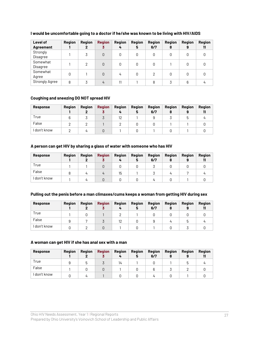| Level of              | <b>Region</b> | Region | <b>Region</b> | <b>Region</b> | Region | Region | Region | <b>Region</b> | <b>Region</b> |
|-----------------------|---------------|--------|---------------|---------------|--------|--------|--------|---------------|---------------|
| <b>Agreement</b>      |               | 2      | 3             | 4             | 5      | 6/7    | 8      | 9             | 11            |
| Strongly              |               | 3      | 0             | 0             | 0      | 0      | N      | 0             |               |
| Disagree              |               |        |               |               |        |        |        |               |               |
| Somewhat              |               | 2      | 0             | 0             |        | 0      |        | 0             |               |
| Disagree              |               |        |               |               |        |        |        |               |               |
| Somewhat              |               |        | 0             |               |        |        | 0      | 0             |               |
| Agree                 |               |        |               | 4             |        |        |        |               |               |
| <b>Strongly Agree</b> | 8             |        | 4             | 11            |        | 8      |        | 6             |               |

#### **I would be uncomfortable going to a doctor if he/she was known to be living with HIV/AIDS**

#### **Coughing and sneezing DO NOT spread HIV**

| Response   | Region | Region | <b>Region</b><br>u | Region<br>4 | <b>Region</b><br>5 | Region<br>6/7 | Region | Region<br>9 | <b>Region</b> |
|------------|--------|--------|--------------------|-------------|--------------------|---------------|--------|-------------|---------------|
| True       |        |        |                    | 12          |                    |               |        |             |               |
| False      |        |        |                    |             |                    |               |        |             |               |
| don't know |        |        |                    |             |                    |               |        |             |               |

#### **A person can get HIV by sharing a glass of water with someone who has HIV**

| <b>Response</b> | <b>Region</b> | Region | <b>Region</b> | <b>Region</b> | <b>Region</b><br>Ð | <b>Region</b><br>6/7 | <b>Region</b> | Region | Region |
|-----------------|---------------|--------|---------------|---------------|--------------------|----------------------|---------------|--------|--------|
| True            |               |        |               |               |                    |                      |               |        |        |
| False           |               |        |               | 15            |                    |                      |               |        |        |
| don't know      |               |        |               |               |                    |                      |               |        |        |

#### **Pulling out the penis before a man climaxes/cums keeps a woman from getting HIV during sex**

| <b>Response</b> | <b>Region</b> | Region | <b>Region</b><br>o | <b>Region</b><br>4 | <b>Region</b><br>5 | <b>Region</b><br>6/7 | <b>Region</b> | <b>Region</b> | Reajon |
|-----------------|---------------|--------|--------------------|--------------------|--------------------|----------------------|---------------|---------------|--------|
| True            |               |        |                    |                    |                    |                      |               |               |        |
| False           |               |        |                    |                    |                    |                      | 4             |               |        |
| don't know      |               |        |                    |                    |                    |                      |               |               |        |

#### **A woman can get HIV if she has anal sex with a man**

| <b>Response</b> | <b>Region</b> | Region | <b>Region</b><br>u | Region | Region<br>Ð | <b>Region</b><br>6/7 | <b>Region</b> | Region | Reajon |
|-----------------|---------------|--------|--------------------|--------|-------------|----------------------|---------------|--------|--------|
| True            |               |        |                    | 14     |             |                      |               |        |        |
| False           |               |        |                    |        |             |                      |               |        |        |
| don't know      |               |        |                    |        |             |                      |               |        |        |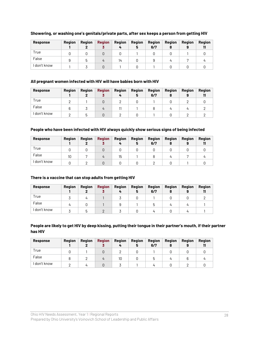| <b>Response</b> | <b>Region</b> | Region | <b>Region</b> | Region | Region<br>Ð | <b>Region</b><br>6/7 | Region | Region | <b>Region</b> |
|-----------------|---------------|--------|---------------|--------|-------------|----------------------|--------|--------|---------------|
| True            |               |        |               |        |             |                      |        |        |               |
| False           |               |        | 4             | 14     |             |                      |        |        |               |
| don't know      |               |        |               |        |             |                      |        |        |               |

#### **Showering, or washing one's genitals/private parts, after sex keeps a person from getting HIV**

#### **All pregnant women infected with HIV will have babies born with HIV**

| <b>Response</b> | <b>Region</b> | Region | <b>Region</b> | <b>Region</b> | <b>Region</b><br>Ð | <b>Region</b><br>6/7 | Region | Region | <b>Region</b> |
|-----------------|---------------|--------|---------------|---------------|--------------------|----------------------|--------|--------|---------------|
| True            |               |        |               |               |                    |                      |        |        |               |
| False           |               |        | $\mu$         |               |                    |                      |        |        |               |
| don't know      |               |        |               |               |                    |                      |        |        |               |

#### **People who have been infected with HIV always quickly show serious signs of being infected**

| <b>Response</b> | <b>Region</b> | Region | <b>Region</b> | <b>Region</b><br>4 | <b>Region</b><br>Ð | <b>Region</b><br>6/7 | <b>Region</b> | <b>Region</b> | <b>Region</b> |
|-----------------|---------------|--------|---------------|--------------------|--------------------|----------------------|---------------|---------------|---------------|
| True            |               |        |               |                    |                    |                      |               |               |               |
| False           | 10            |        | 4             | 15                 |                    |                      |               |               |               |
| don't know      |               |        |               |                    |                    |                      |               |               |               |

#### **There is a vaccine that can stop adults from getting HIV**

| <b>Response</b> | <b>Region</b> | Region | <b>Region</b> | <b>Region</b> | <b>Region</b><br>Ð | <b>Region</b><br>6/7 | <b>Region</b> | Region | Region |
|-----------------|---------------|--------|---------------|---------------|--------------------|----------------------|---------------|--------|--------|
| True            |               | 4      |               |               |                    |                      |               |        |        |
| False           |               |        |               |               |                    |                      |               |        |        |
| don't know      |               |        |               |               |                    |                      |               |        |        |

#### **People are likely to get HIV by deep kissing, putting their tongue in their partner's mouth, if their partner has HIV**

| <b>Response</b> | <b>Region</b> | Region       | <b>Region</b> | <b>Region</b><br>4 | <b>Region</b><br>5 | Region<br>6/7 | Region | <b>Region</b> | <b>Region</b> |
|-----------------|---------------|--------------|---------------|--------------------|--------------------|---------------|--------|---------------|---------------|
| True            |               |              |               |                    |                    |               |        |               |               |
| False           |               |              | $\mu$         | 10                 |                    | ט             |        |               |               |
| don't know      |               | $\mathbf{u}$ |               |                    |                    |               |        |               |               |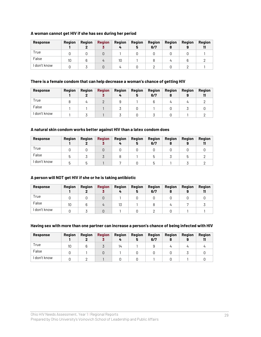#### **A woman cannot get HIV if she has sex during her period**

| <b>Response</b> | <b>Region</b> | Region | <b>Region</b><br>u | Region<br>4 | Region<br>Ð | <b>Region</b><br>6/7 | Region<br>8 | <b>Region</b> | <b>Region</b> |
|-----------------|---------------|--------|--------------------|-------------|-------------|----------------------|-------------|---------------|---------------|
| True            |               |        |                    |             |             |                      |             |               |               |
| False           | 10            |        | 4                  | 10          |             |                      |             |               |               |
| don't know      |               |        |                    |             |             |                      |             |               |               |

#### **There is a female condom that can help decrease a woman's chance of getting HIV**

| <b>Response</b> | Region | Region | <b>Region</b> | Region<br>4 | <b>Region</b><br>Ð | Region<br>6/7 | <b>Region</b> | <b>Region</b> | Region |
|-----------------|--------|--------|---------------|-------------|--------------------|---------------|---------------|---------------|--------|
| True            |        |        |               |             |                    |               |               |               |        |
| False           |        |        |               |             |                    |               |               |               |        |
| don't know      |        |        |               |             |                    |               |               |               |        |

#### **A natural skin condom works better against HIV than a latex condom does**

| <b>Response</b> | <b>Region</b> | Region | <b>Region</b><br>υ | <b>Region</b><br>4 | <b>Region</b><br>Ð | <b>Region</b><br>6/7 | Region<br>8 | <b>Region</b> | <b>Region</b> |
|-----------------|---------------|--------|--------------------|--------------------|--------------------|----------------------|-------------|---------------|---------------|
| True            |               |        |                    |                    |                    |                      |             |               |               |
| False           | 5             |        |                    |                    |                    | ხ                    |             |               |               |
| don't know      | 5             | ь      |                    |                    |                    |                      |             |               |               |

#### **A person will NOT get HIV if she or he is taking antibiotic**

| <b>Response</b> | <b>Region</b> | Region | <b>Region</b> | Region | <b>Region</b><br>Ð | <b>Region</b><br>6/7 | Region | Region | <b>Region</b> |
|-----------------|---------------|--------|---------------|--------|--------------------|----------------------|--------|--------|---------------|
| True            |               |        |               |        |                    |                      |        |        |               |
| False           | 10            |        | 4             | 13     |                    |                      |        |        |               |
| don't know      |               |        |               |        |                    |                      |        |        |               |

#### **Having sex with more than one partner can increase a person's chance of being infected with HIV**

| <b>Response</b> | <b>Region</b> | Region | <b>Region</b><br>u | Region<br>4 | <b>Region</b><br>э | <b>Region</b><br>6/7 | Region<br>8 | <b>Region</b> | <b>Region</b> |
|-----------------|---------------|--------|--------------------|-------------|--------------------|----------------------|-------------|---------------|---------------|
| True            | 10            |        |                    | 14          |                    |                      |             |               |               |
| False           |               |        |                    |             |                    |                      |             |               |               |
| don't know      |               |        |                    |             |                    |                      |             |               |               |